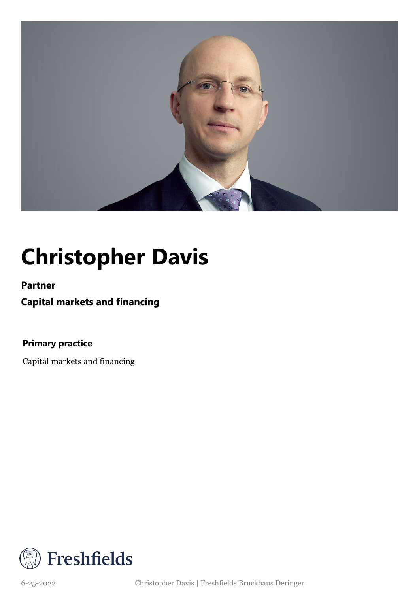

## **Christopher Davis**

**Partner**

**Capital markets and financing**

**Primary practice**

Capital markets and financing



6-25-2022 Christopher Davis | Freshfields Bruckhaus Deringer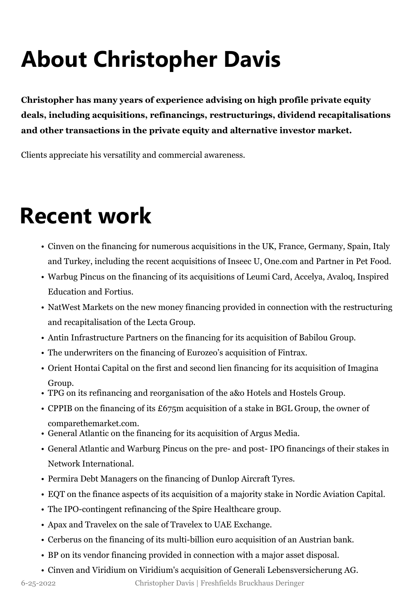# **About Christopher Davis**

**Christopher has many years of experience advising on high profile private equity deals, including acquisitions, refinancings, restructurings, dividend recapitalisations and other transactions in the private equity and alternative investor market.**

Clients appreciate his versatility and commercial awareness.

#### **Recent work**

- Cinven on the financing for numerous acquisitions in the UK, France, Germany, Spain, Italy and Turkey, including the recent acquisitions of Inseec U, One.com and Partner in Pet Food.
- Warbug Pincus on the financing of its acquisitions of Leumi Card, Accelya, Avaloq, Inspired Education and Fortius.
- NatWest Markets on the new money financing provided in connection with the restructuring and recapitalisation of the Lecta Group.
- Antin Infrastructure Partners on the financing for its acquisition of Babilou Group.
- The underwriters on the financing of Eurozeo's acquisition of Fintrax.
- Orient Hontai Capital on the first and second lien financing for its acquisition of Imagina Group.
- TPG on its refinancing and reorganisation of the a&o Hotels and Hostels Group.
- CPPIB on the financing of its £675m acquisition of a stake in BGL Group, the owner of comparethemarket.com.
- General Atlantic on the financing for its acquisition of Argus Media.
- General Atlantic and Warburg Pincus on the pre- and post- IPO financings of their stakes in Network International.
- Permira Debt Managers on the financing of Dunlop Aircraft Tyres.
- EQT on the finance aspects of its acquisition of a majority stake in Nordic Aviation Capital.
- The IPO-contingent refinancing of the Spire Healthcare group.
- Apax and Travelex on the sale of Travelex to UAE Exchange.
- Cerberus on the financing of its multi-billion euro acquisition of an Austrian bank.
- BP on its vendor financing provided in connection with a major asset disposal.
- Cinven and Viridium on Viridium's acquisition of Generali Lebensversicherung AG.